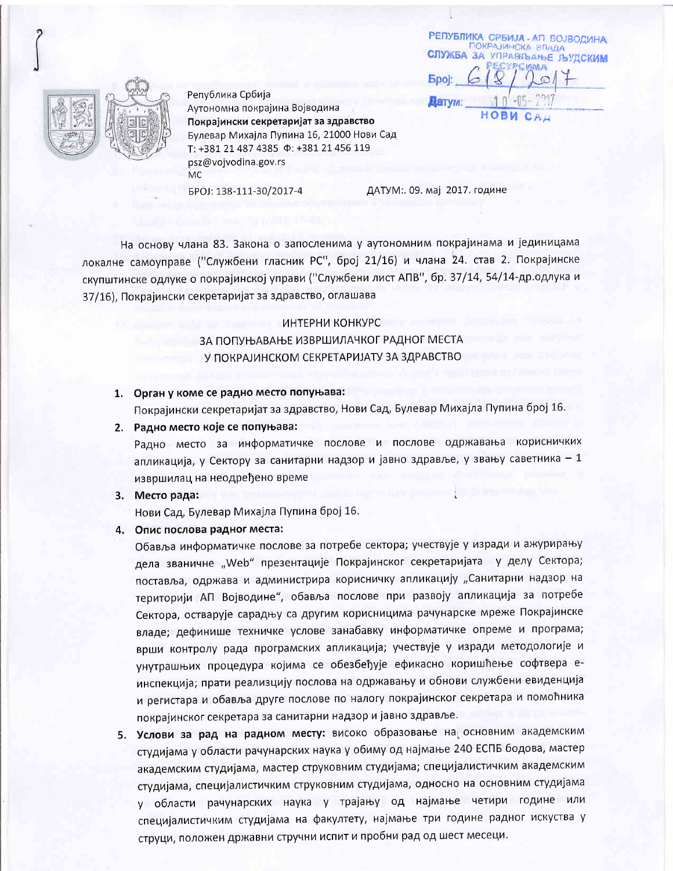РЕПУБЛИКА СРБИЈА - АП ВОЈВОДИНА ПОКРАЈИНСКА ВЛАДА СЛУЖБА ЗА УПРАВЉАЊЕ ЉУДСКИМ УРСИМА **Epoi** Датум: HOBN



Република Србија Аутономна покрајина Војводина Покрајински секретаријат за здравство Булевар Михајла Пупина 16, 21000 Нови Сад T: +381 21 487 4385  $\Phi$ : +381 21 456 119 psz@vojvodina.gov.rs **MC** 

EPOJ: 138-111-30/2017-4

ДАТУМ: 09. мај 2017. године

На основу члана 83. Закона о запосленима у аутономним покрајинама и јединицама локалне самоуправе ("Службени гласник РС", број 21/16) и члана 24. став 2. Покрајинске скупштинске одлуке о покрајинској управи ("Службени лист АПВ", бр. 37/14, 54/14-др. одлука и 37/16), Покрајински секретаријат за здравство, оглашава

#### ИНТЕРНИ КОНКУРС

ЗА ПОПУЊАВАЊЕ ИЗВРШИЛАЧКОГ РАДНОГ МЕСТА У ПОКРАЈИНСКОМ СЕКРЕТАРИЈАТУ ЗА ЗДРАВСТВО

### 1. Орган у коме се радно место попуњава:

Покрајински секретаријат за здравство, Нови Сад, Булевар Михајла Пупина број 16.

2. Радно место које се попуњава:

Радно место за информатичке послове и послове одржавања корисничких апликација, у Сектору за санитарни надзор и јавно здравље, у звању саветника - 1 извршилац на неодређено време

3. Место рада:

Нови Сад, Булевар Михајла Пупина број 16.

4. Опис послова радног места:

Обавља информатичке послове за потребе сектора; учествује у изради и ажурирању дела званичне "Web" презентације Покрајинског секретаријата у делу Сектора; поставља, одржава и администрира корисничку апликацију "Санитарни надзор на територији АП Војводине", обавља послове при развоју апликација за потребе Сектора, остварује сарадњу са другим корисницима рачунарске мреже Покрајинске владе; дефинише техничке услове занабавку информатичке опреме и програма; врши контролу рада програмских апликација; учествује у изради методологије и унутрашњих процедура којима се обезбеђује ефикасно коришћење софтвера еинспекција; прати реализцију послова на одржавању и обнови службени евиденција и регистара и обавља друге послове по налогу покрајинског секретара и помоћника покрајинског секретара за санитарни надзор и јавно здравље.

5. Услови за рад на радном месту: високо образовање на основним академским студијама у области рачунарских наука у обиму од најмање 240 ЕСПБ бодова, мастер академским студијама, мастер струковним студијама; специјалистичким академским студијама, специјалистичким струковним студијама, односно на основним студијама у области рачунарских наука у трајању од најмање четири године или специјалистичким студијама на факултету, најмање три године радног искуства у струци, положен државни стручни испит и пробни рад од шест месеци.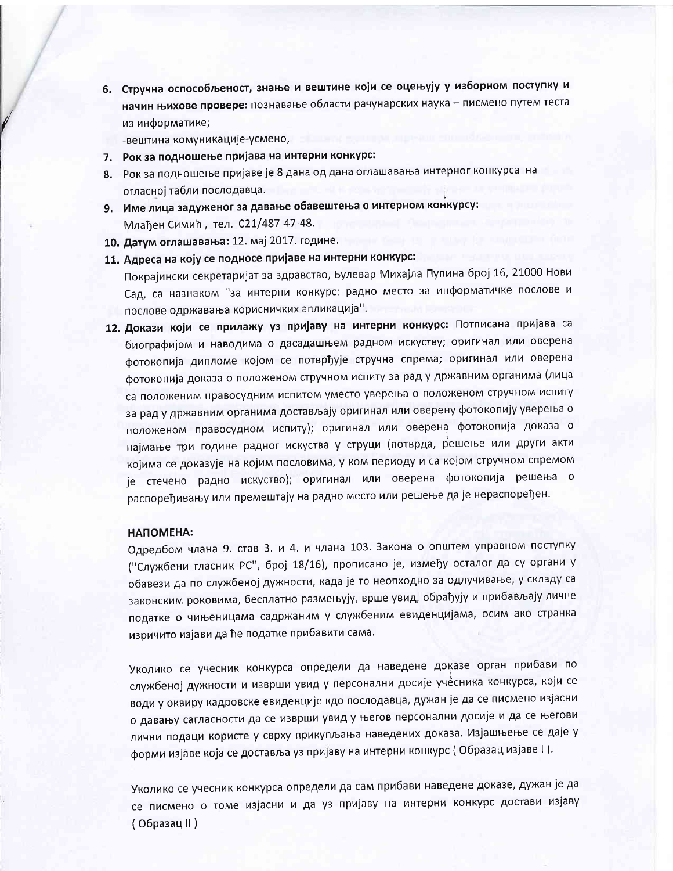6. Стручна оспособљеност, знање и вештине који се оцењују у изборном поступку и начин њихове провере: познавање области рачунарских наука - писмено путем теста из информатике;

-вештина комуникације-усмено,

- 7. Рок за подношење пријава на интерни конкурс:
- 8. Рок за подношење пријаве је 8 дана од дана оглашавања интерног конкурса на огласној табли послодавца.
- 9. Име лица задуженог за давање обавештења о интерном конкурсу: Млађен Симић, тел. 021/487-47-48.
- 10. Датум оглашавања: 12. мај 2017. године.
- 11. Адреса на коју се подносе пријаве на интерни конкурс:

Покрајински секретаријат за здравство, Булевар Михајла Пупина број 16, 21000 Нови Сад, са назнаком "за интерни конкурс: радно место за информатичке послове и послове одржавања корисничких апликација".

12. Докази који се прилажу уз пријаву на интерни конкурс: Потписана пријава са биографијом и наводима о дасадашњем радном искуству; оригинал или оверена фотокопија дипломе којом се потврђује стручна спрема; оригинал или оверена фотокопија доказа о положеном стручном испиту за рад у државним органима (лица са положеним правосудним испитом уместо уверења о положеном стручном испиту за рад у државним органима достављају оригинал или оверену фотокопију уверења о положеном правосудном испиту); оригинал или оверена фотокопија доказа о најмање три године радног искуства у струци (потврда, решење или други акти којима се доказује на којим пословима, у ком периоду и са којом стручном спремом је стечено радно искуство); оригинал или оверена фотокопија решења о распоређивању или премештају на радно место или решење да је нераспоређен.

### ΗΑΠΟΜΕΗΑ:

Одредбом члана 9. став 3. и 4. и члана 103. Закона о општем управном поступку ("Службени гласник РС", број 18/16), прописано је, између осталог да су органи у обавези да по службеној дужности, када је то неопходно за одлучивање, у складу са законским роковима, бесплатно размењују, врше увид, обрађују и прибављају личне податке о чињеницама садржаним у службеним евиденцијама, осим ако странка изричито изјави да ће податке прибавити сама.

Уколико се учесник конкурса определи да наведене доказе орган прибави по службеној дужности и изврши увид у персонални досије учесника конкурса, који се води у оквиру кадровске евиденције кдо послодавца, дужан је да се писмено изјасни о давању сагласности да се изврши увид у његов персонални досије и да се његови лични подаци користе у сврху прикупљања наведених доказа. Изјашњење се даје у форми изјаве која се доставља уз пријаву на интерни конкурс (Образац изјаве I).

Уколико се учесник конкурса определи да сам прибави наведене доказе, дужан је да се писмено о томе изјасни и да уз пријаву на интерни конкурс достави изјаву ( Образац II )